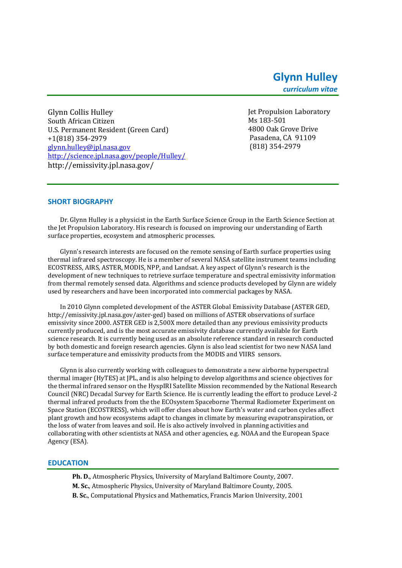Glynn Collis Hulley South African Citizen U.S. Permanent Resident (Green Card) +1(818) 354-2979 [glynn.hulley@jpl.nasa.gov](mailto:simon.j.hook@jpl.nasa.gov) [http://science.jpl.nasa.gov/people/Hulley/](http://science.jpl.nasa.gov/people/Hook/) http://emissivity.jpl.nasa.gov/

Jet Propulsion Laboratory Ms 183-501 4800 Oak Grove Drive Pasadena, CA 91109 (818) 354-2979

## **SHORT BIOGRAPHY**

Dr. Glynn Hulley is a physicist in the Earth Surface Science Group in the Earth Science Section at the Jet Propulsion Laboratory. His research is focused on improving our understanding of Earth surface properties, ecosystem and atmospheric processes.

Glynn's research interests are focused on the remote sensing of Earth surface properties using thermal infrared spectroscopy. He is a member of several NASA satellite instrument teams including ECOSTRESS, AIRS, ASTER, MODIS, NPP, and Landsat. A key aspect of Glynn's research is the development of new techniques to retrieve surface temperature and spectral emissivity information from thermal remotely sensed data. Algorithms and science products developed by Glynn are widely used by researchers and have been incorporated into commercial packages by NASA.

In 2010 Glynn completed development of the ASTER Global Emissivity Database (ASTER GED, http://emissivity.jpl.nasa.gov/aster-ged) based on millions of ASTER observations of surface emissivity since 2000. ASTER GED is 2,500X more detailed than any previous emissivity products currently produced, and is the most accurate emissivity database currently available for Earth science research. It is currently being used as an absolute reference standard in research conducted by both domestic and foreign research agencies. Glynn is also lead scientist for two new NASA land surface temperature and emissivity products from the MODIS and VIIRS sensors.

Glynn is also currently working with colleagues to demonstrate a new airborne hyperspectral thermal imager (HyTES) at JPL, and is also helping to develop algorithms and science objectives for the thermal infrared sensor on the HyspIRI Satellite Mission recommended by the National Research Council (NRC) Decadal Survey for Earth Science. He is currently leading the effort to produce Level-2 thermal infrared products from the the ECOsystem Spaceborne Thermal Radiometer Experiment on Space Station (ECOSTRESS), which will offer clues about how Earth's water and carbon cycles affect plant growth and how ecosystems adapt to changes in climate by measuring evapotranspiration, or the loss of water from leaves and soil. He is also actively involved in planning activities and collaborating with other scientists at NASA and other agencies, e.g. NOAA and the European Space Agency (ESA).

#### **EDUCATION**

**Ph. D.**, Atmospheric Physics, University of Maryland Baltimore County, 2007. **M. Sc.**, Atmospheric Physics, University of Maryland Baltimore County, 2005. **B. Sc.**, Computational Physics and Mathematics, Francis Marion University, 2001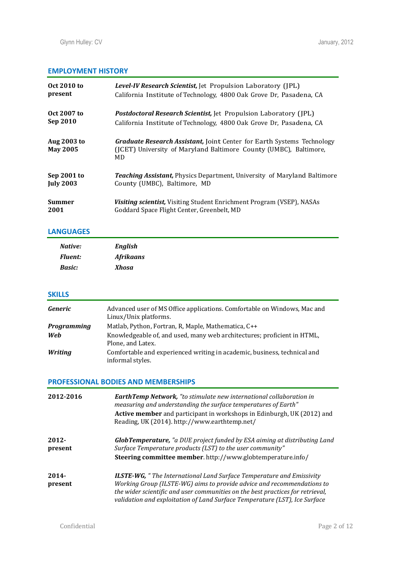# **EMPLOYMENT HISTORY**

| Oct 2010 to                    | Level-IV Research Scientist, Jet Propulsion Laboratory (JPL)                                                                                             |
|--------------------------------|----------------------------------------------------------------------------------------------------------------------------------------------------------|
| present                        | California Institute of Technology, 4800 Oak Grove Dr, Pasadena, CA                                                                                      |
| Oct 2007 to                    | <b>Postdoctoral Research Scientist, Jet Propulsion Laboratory (JPL)</b>                                                                                  |
| Sep 2010                       | California Institute of Technology, 4800 Oak Grove Dr, Pasadena, CA                                                                                      |
| Aug 2003 to<br><b>May 2005</b> | <b>Graduate Research Assistant, Joint Center for Earth Systems Technology</b><br>(ICET) University of Maryland Baltimore County (UMBC), Baltimore,<br>MD |
| Sep 2001 to                    | <b>Teaching Assistant, Physics Department, University of Maryland Baltimore</b>                                                                          |
| <b>July 2003</b>               | County (UMBC), Baltimore, MD                                                                                                                             |
| <b>Summer</b>                  | Visiting scientist, Visiting Student Enrichment Program (VSEP), NASAs                                                                                    |
| 2001                           | Goddard Space Flight Center, Greenbelt, MD                                                                                                               |

# **LANGUAGES**

| Native:        | <b>English</b>   |
|----------------|------------------|
| <b>Fluent:</b> | <b>Afrikaans</b> |
| <b>Basic:</b>  | Xhosa            |

# **SKILLS**

| <b>Generic</b>     | Advanced user of MS Office applications. Comfortable on Windows, Mac and<br>Linux/Unix platforms. |
|--------------------|---------------------------------------------------------------------------------------------------|
| <b>Programming</b> | Matlab, Python, Fortran, R, Maple, Mathematica, C++                                               |
| Web                | Knowledgeable of, and used, many web architectures; proficient in HTML,<br>Plone, and Latex.      |
| Writing            | Comfortable and experienced writing in academic, business, technical and<br>informal styles.      |

# **PROFESSIONAL BODIES AND MEMBERSHIPS**

| 2012-2016           | <b>EarthTemp Network,</b> "to stimulate new international collaboration in<br>measuring and understanding the surface temperatures of Earth"<br>Active member and participant in workshops in Edinburgh, UK (2012) and<br>Reading, UK (2014). http://www.earthtemp.net/                                               |
|---------------------|-----------------------------------------------------------------------------------------------------------------------------------------------------------------------------------------------------------------------------------------------------------------------------------------------------------------------|
| $2012 -$<br>present | <b>GlobTemperature,</b> "a DUE project funded by ESA aiming at distributing Land<br>Surface Temperature products (LST) to the user community"<br>Steering committee member. http://www.globtemperature.info/                                                                                                          |
| $2014 -$<br>present | <b>ILSTE-WG,</b> "The International Land Surface Temperature and Emissivity<br>Working Group (ILSTE-WG) aims to provide advice and recommendations to<br>the wider scientific and user communities on the best practices for retrieval,<br>validation and exploitation of Land Surface Temperature (LST), Ice Surface |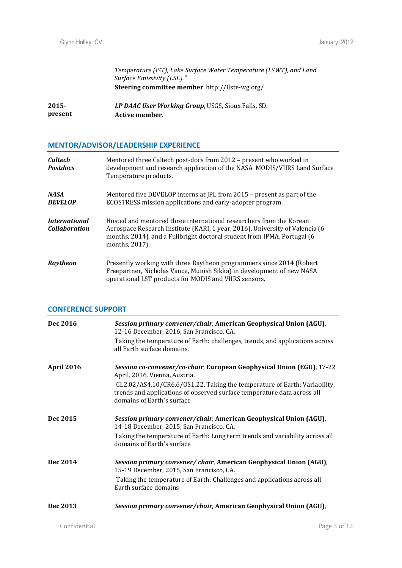*Temperature (IST), Lake Surface Water Temperature (LSWT), and Land Surface Emissivity (LSE)."* **Steering committee member**. http://ilste-wg.org/

| 2015-   | LP DAAC User Working Group, USGS, Sioux Falls, SD. |
|---------|----------------------------------------------------|
| present | Active member.                                     |

# **MENTOR/ADVISOR/LEADERSHIP EXPERIENCE**

| Caltech<br><b>Postdocs</b>                   | Mentored three Caltech post-docs from 2012 - present who worked in<br>development and research application of the NASA MODIS/VIIRS Land Surface<br>Temperature products.                                                                         |
|----------------------------------------------|--------------------------------------------------------------------------------------------------------------------------------------------------------------------------------------------------------------------------------------------------|
| <b>NASA</b><br><b>DEVELOP</b>                | Mentored five DEVELOP interns at JPL from 2015 - present as part of the<br>ECOSTRESS mission applications and early-adopter program.                                                                                                             |
| <i>International</i><br><b>Collaboration</b> | Hosted and mentored three international researchers from the Korean<br>Aerospace Research Institute (KARI, 1 year, 2016), University of Valencia (6<br>months, 2014), and a Fullbright doctoral student from IPMA, Portugal (6<br>months, 2017). |
| Raytheon                                     | Presently working with three Raytheon programmers since 2014 (Robert)<br>Freepartner, Nicholas Vance, Munish Sikka) in development of new NASA<br>operational LST products for MODIS and VIIRS sensors.                                          |

# **CONFERENCE SUPPORT**

| Dec 2016   | Session primary convener/chair, American Geophysical Union (AGU),<br>12-16 December, 2016, San Francisco, CA.<br>Taking the temperature of Earth: challenges, trends, and applications across<br>all Earth surface domains.                                                                  |
|------------|----------------------------------------------------------------------------------------------------------------------------------------------------------------------------------------------------------------------------------------------------------------------------------------------|
| April 2016 | Session co-convener/co-chair, European Geophysical Union (EGU), 17-22<br>April, 2016, Vienna, Austria.<br>CL2.02/AS4.10/CR6.6/OS1.22, Taking the temperature of Earth: Variability,<br>trends and applications of observed surface temperature data across all<br>domains of Earth's surface |
| Dec 2015   | Session primary convener/chair, American Geophysical Union (AGU),<br>14-18 December, 2015, San Francisco, CA.<br>Taking the temperature of Earth: Long term trends and variability across all<br>domains of Earth's surface                                                                  |
| Dec 2014   | Session primary convener/chair, American Geophysical Union (AGU),<br>15-19 December, 2015, San Francisco, CA.<br>Taking the temperature of Earth: Challenges and applications across all<br>Earth surface domains                                                                            |
| Dec 2013   | Session primary convener/chair, American Geophysical Union (AGU),                                                                                                                                                                                                                            |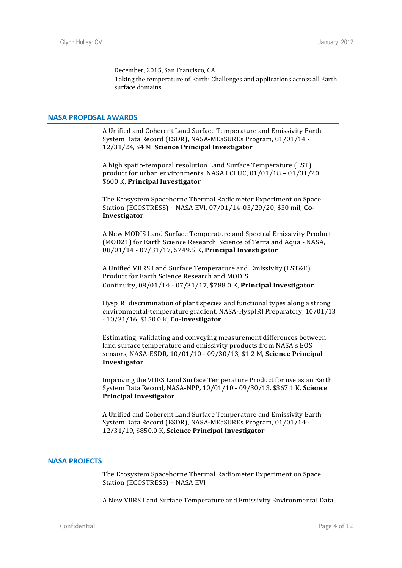December, 2015, San Francisco, CA. Taking the temperature of Earth: Challenges and applications across all Earth surface domains

#### **NASA PROPOSAL AWARDS**

A Unified and Coherent Land Surface Temperature and Emissivity Earth System Data Record (ESDR), NASA-MEaSUREs Program, 01/01/14 - 12/31/24, \$4 M, **Science Principal Investigator**

A high spatio-temporal resolution Land Surface Temperature (LST) product for urban environments, NASA LCLUC, 01/01/18 – 01/31/20, \$600 K, **Principal Investigator**

The Ecosystem Spaceborne Thermal Radiometer Experiment on Space Station (ECOSTRESS) – NASA EVI, 07/01/14-03/29/20, \$30 mil, **Co-Investigator**

A New MODIS Land Surface Temperature and Spectral Emissivity Product (MOD21) for Earth Science Research, Science of Terra and Aqua - NASA, 08/01/14 - 07/31/17, \$749.5 K, **Principal Investigator**

A Unified VIIRS Land Surface Temperature and Emissivity (LST&E) Product for Earth Science Research and MODIS Continuity, 08/01/14 - 07/31/17, \$788.0 K, **Principal Investigator**

HyspIRI discrimination of plant species and functional types along a strong environmental-temperature gradient, NASA-HyspIRI Preparatory, 10/01/13 - 10/31/16, \$150.0 K, **Co-Investigator**

Estimating, validating and conveying measurement differences between land surface temperature and emissivity products from NASA's EOS sensors, NASA-ESDR, 10/01/10 - 09/30/13, \$1.2 M, **Science Principal Investigator**

Improving the VIIRS Land Surface Temperature Product for use as an Earth System Data Record, NASA-NPP, 10/01/10 - 09/30/13, \$367.1 K, **Science Principal Investigator**

A Unified and Coherent Land Surface Temperature and Emissivity Earth System Data Record (ESDR), NASA-MEaSUREs Program, 01/01/14 - 12/31/19, \$850.0 K, **Science Principal Investigator**

#### **NASA PROJECTS**

The Ecosystem Spaceborne Thermal Radiometer Experiment on Space Station (ECOSTRESS) – NASA EVI

A New VIIRS Land Surface Temperature and Emissivity Environmental Data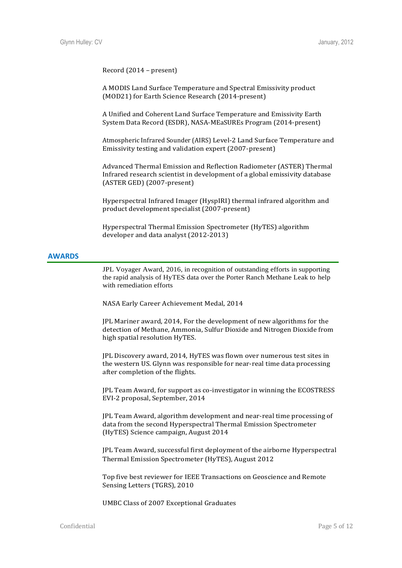#### Record (2014 – present)

A MODIS Land Surface Temperature and Spectral Emissivity product (MOD21) for Earth Science Research (2014-present)

A Unified and Coherent Land Surface Temperature and Emissivity Earth System Data Record (ESDR), NASA-MEaSUREs Program (2014-present)

Atmospheric Infrared Sounder (AIRS) Level-2 Land Surface Temperature and Emissivity testing and validation expert (2007-present)

Advanced Thermal Emission and Reflection Radiometer (ASTER) Thermal Infrared research scientist in development of a global emissivity database (ASTER GED) (2007-present)

Hyperspectral Infrared Imager (HyspIRI) thermal infrared algorithm and product development specialist (2007-present)

Hyperspectral Thermal Emission Spectrometer (HyTES) algorithm developer and data analyst (2012-2013)

#### **AWARDS**

JPL Voyager Award, 2016, in recognition of outstanding efforts in supporting the rapid analysis of HyTES data over the Porter Ranch Methane Leak to help with remediation efforts

NASA Early Career Achievement Medal, 2014

JPL Mariner award, 2014, For the development of new algorithms for the detection of Methane, Ammonia, Sulfur Dioxide and Nitrogen Dioxide from high spatial resolution HyTES.

JPL Discovery award, 2014, HyTES was flown over numerous test sites in the western US. Glynn was responsible for near-real time data processing after completion of the flights.

JPL Team Award, for support as co-investigator in winning the ECOSTRESS EVI-2 proposal, September, 2014

JPL Team Award, algorithm development and near-real time processing of data from the second Hyperspectral Thermal Emission Spectrometer (HyTES) Science campaign, August 2014

JPL Team Award, successful first deployment of the airborne Hyperspectral Thermal Emission Spectrometer (HyTES), August 2012

Top five best reviewer for IEEE Transactions on Geoscience and Remote Sensing Letters (TGRS), 2010

UMBC Class of 2007 Exceptional Graduates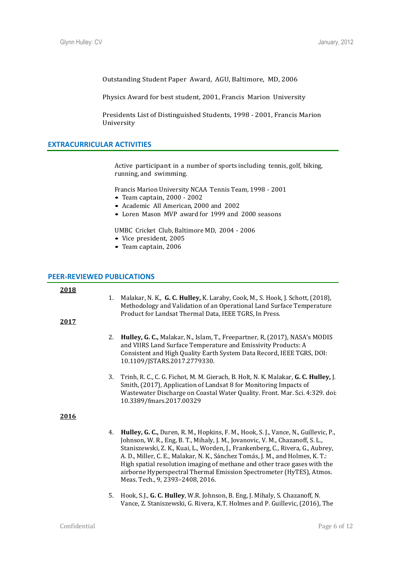Outstanding Student Paper Award, AGU, Baltimore, MD, 2006

Physics Award for best student, 2001, Francis Marion University

Presidents List of Distinguished Students, 1998 - 2001, Francis Marion University

# **EXTRACURRICULAR ACTIVITIES**

Active participant in a number of sports including tennis, golf, biking, running, and swimming.

Francis Marion University NCAA Tennis Team, 1998 - 2001

- Team captain, 2000 2002
- Academic All American, 2000 and 2002
- Loren Mason MVP award for 1999 and 2000 seasons

UMBC Cricket Club, Baltimore MD, 2004 - 2006

- Vice president, 2005
- Team captain, 2006

#### **PEER-REVIEWED PUBLICATIONS**

| 2018<br>2017 | 1. | Malakar, N. K., G. C. Hulley, K. Laraby, Cook, M., S. Hook, J. Schott, (2018),<br>Methodology and Validation of an Operational Land Surface Temperature<br>Product for Landsat Thermal Data, IEEE TGRS, In Press.                                                                                                                                                                                                                                                                                                                   |
|--------------|----|-------------------------------------------------------------------------------------------------------------------------------------------------------------------------------------------------------------------------------------------------------------------------------------------------------------------------------------------------------------------------------------------------------------------------------------------------------------------------------------------------------------------------------------|
|              | 2. | Hulley, G. C., Malakar, N., Islam, T., Freepartner, R, (2017), NASA's MODIS<br>and VIIRS Land Surface Temperature and Emissivity Products: A<br>Consistent and High Quality Earth System Data Record, IEEE TGRS, DOI:<br>10.1109/JSTARS.2017.2779330.                                                                                                                                                                                                                                                                               |
|              | 3. | Trinh, R. C., C. G. Fichot, M. M. Gierach, B. Holt, N. K. Malakar, G. C. Hulley, J.<br>Smith, (2017), Application of Landsat 8 for Monitoring Impacts of<br>Wastewater Discharge on Coastal Water Quality. Front. Mar. Sci. 4:329. doi:<br>10.3389/fmars.2017.00329                                                                                                                                                                                                                                                                 |
| 2016         |    |                                                                                                                                                                                                                                                                                                                                                                                                                                                                                                                                     |
|              | 4. | Hulley, G. C., Duren, R. M., Hopkins, F. M., Hook, S. J., Vance, N., Guillevic, P.,<br>Johnson, W. R., Eng, B. T., Mihaly, J. M., Jovanovic, V. M., Chazanoff, S. L.,<br>Staniszewski, Z. K., Kuai, L., Worden, J., Frankenberg, C., Rivera, G., Aubrey,<br>A. D., Miller, C. E., Malakar, N. K., Sánchez Tomás, J. M., and Holmes, K. T.:<br>High spatial resolution imaging of methane and other trace gases with the<br>airborne Hyperspectral Thermal Emission Spectrometer (HyTES), Atmos.<br>Meas. Tech., 9, 2393-2408, 2016. |
|              | 5. | Hook, S.J., G. C. Hulley, W.R. Johnson, B. Eng, J. Mihaly, S. Chazanoff, N.<br>Vance, Z. Staniszewski, G. Rivera, K.T. Holmes and P. Guillevic, (2016), The                                                                                                                                                                                                                                                                                                                                                                         |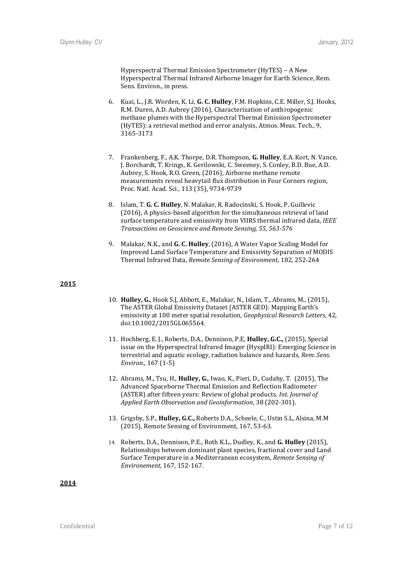Hyperspectral Thermal Emission Spectrometer (HyTES) – A New Hyperspectral Thermal Infrared Airborne Imager for Earth Science, Rem. Sens. Environ., in press.

- 6. Kuai, L., J.R. Worden, K. Li, **G. C. Hulley**, F.M. Hopkins, C.E. Miller, S.J. Hooks, R.M. Duren, A.D. Aubrey (2016), Characterization of anthropogenic methane plumes with the Hyperspectral Thermal Emission Spectrometer (HyTES): a retrieval method and error analysis, Atmos. Meas. Tech., 9, 3165-3173
- 7. Frankenberg, F., A.K. Thorpe, D.R. Thompson, **G. Hulley**, E.A. Kort, N. Vance, J. Borchardt, T. Krings, K. Gerilowski, C. Sweeney, S. Conley, B.D. Bue, A.D. Aubrey, S. Hook, R.O. Green, (2016), Airborne methane remote measurements reveal heavytail flux distribution in Four Corners region, Proc. Natl. Acad. Sci., 113 (35), 9734-9739
- 8. Islam, T. **G. C. Hulley**, N. Malakar, R. Radocinski, S. Hook, P. Guillevic (2016), A physics-based algorithm for the simultaneous retrieval of land surface temperature and emissivity from VIIRS thermal infrared data, *IEEE Transactions on Geoscience and Remote Sensing, 55, 563-576*
- 9. Malakar, N.K., and **G. C. Hulley**, (2016), A Water Vapor Scaling Model for Improved Land Surface Temperature and Emissivity Separation of MODIS Thermal Infrared Data, *Remote Sensing of Environment*, 182, 252-264

#### **2015**

- 10. **Hulley, G.**, Hook S.J, Abbott, E., Malakar, N., Islam, T., Abrams, M., (2015), The ASTER Global Emissivity Dataset (ASTER GED): Mapping Earth's emissivity at 100 meter spatial resolution, *Geophysical Research Letters*, 42, doi:10.1002/2015GL065564.
- 11. Hochberg, E. J., Roberts, D.A., Dennison, P.E, **Hulley, G.C.,** (2015), Special issue on the Hyperspectral Infrared Imager (HyspIRI): Emerging Science in terrestrial and aquatic ecology, radiation balance and hazards, *Rem. Sens. Environ.*, 167 (1-5)
- 12. Abrams, M., Tsu, H., **Hulley, G.**, Iwao, K., Pieri, D., Cudahy, T. (2015), The Advanced Spaceborne Thermal Emission and Reflection Radiometer (ASTER) after fifteen years: Review of global products*, Int. Journal of Applied Earth Observation and Geoinformation*, 38 (202-301).
- 13. Grigsby, S.P., **Hulley, G.C.,** Roberts D.A., Scheele, C., Ustin S.L, Alsina, M.M (2015), Remote Sensing of Environment, 167, 53-63.
- 14. Roberts, D.A., Dennison, P.E., Roth K.L., Dudley, K., and **G. Hulley** (2015), Relationships between dominant plant species, fractional cover and Land Surface Temperature in a Mediterranean ecosystem, *Remote Sensing of Environement,* 167, 152-167.

**2014**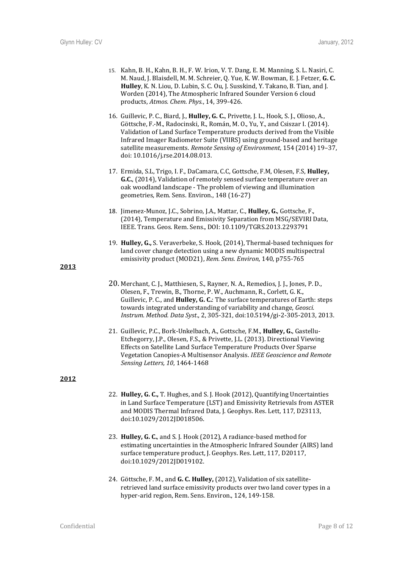- 15. Kahn, B. H., Kahn, B. H., F. W. Irion, V. T. Dang, E. M. Manning, S. L. Nasiri, C. M. Naud, J. Blaisdell, M. M. Schreier, Q. Yue, K. W. Bowman, E. J. Fetzer, **G. C. Hulley**, K. N. Liou, D. Lubin, S. C. Ou, J. Susskind, Y. Takano, B. Tian, and J. Worden (2014), The Atmospheric Infrared Sounder Version 6 cloud products, *Atmos. Chem. Phys.*, 14, 399-426.
- 16. Guillevic, P. C., Biard, J., **Hulley, G. C.**, Privette, J. L., Hook, S. J., Olioso, A., Göttsche, F.-M., Radocinski, R., Román, M. O., Yu, Y., and Csiszar I. (2014). Validation of Land Surface Temperature products derived from the Visible Infrared Imager Radiometer Suite (VIIRS) using ground-based and heritage satellite measurements. *Remote Sensing of Environment*, 154 (2014) 19–37, doi: 10.1016/j.rse.2014.08.013.
- 17. Ermida, S.L, Trigo, I. F., DaCamara, C.C, Gottsche, F.M, Olesen, F.S, **Hulley, G.C.**, (2014), Validation of remotely sensed surface temperature over an oak woodland landscape - The problem of viewing and illumination geometries, Rem. Sens. Environ., 148 (16-27)
- 18. Jimenez-Munoz, J.C., Sobrino, J.A., Mattar, C., **Hulley, G.**, Gottsche, F., (2014), Temperature and Emissivity Separation from MSG/SEVIRI Data, IEEE. Trans. Geos. Rem. Sens., DOI: 10.1109/TGRS.2013.2293791
- 19. **Hulley, G.,** S. Veraverbeke, S. Hook, (2014), Thermal-based techniques for land cover change detection using a new dynamic MODIS multispectral emissivity product (MOD21), *Rem. Sens. Environ*, 140, p755-765

**2013**

- 20. Merchant, C. J., Matthiesen, S., Rayner, N. A., Remedios, J. J., Jones, P. D., Olesen, F., Trewin, B., Thorne, P. W., Auchmann, R., Corlett, G. K., Guillevic, P. C., and **Hulley, G. C.**: The surface temperatures of Earth: steps towards integrated understanding of variability and change, *Geosci. Instrum. Method. Data Syst*., 2, 305-321, doi:10.5194/gi-2-305-2013, 2013.
- 21. Guillevic, P.C., Bork-Unkelbach, A., Gottsche, F.M., **Hulley, G.**, Gastellu-Etchegorry, J.P., Olesen, F.S., & Privette, J.L. (2013). Directional Viewing Effects on Satellite Land Surface Temperature Products Over Sparse Vegetation Canopies-A Multisensor Analysis. *IEEE Geoscience and Remote Sensing Letters, 10*, 1464-1468

#### **2012**

- 22. **Hulley, G. C.,** T. Hughes, and S. J. Hook (2012), Quantifying Uncertainties in Land Surface Temperature (LST) and Emissivity Retrievals from ASTER and MODIS Thermal Infrared Data, I. Geophys. Res. Lett, 117, D23113, doi:10.1029/2012JD018506.
- 23. **Hulley, G. C.**, and S. J. Hook (2012), A radiance-based method for estimating uncertainties in the Atmospheric Infrared Sounder (AIRS) land surface temperature product, J. Geophys. Res. Lett, 117, D20117, doi:10.1029/2012JD019102.
- 24. Göttsche, F. M., and **G. C. Hulley,** (2012), Validation of six satelliteretrieved land surface emissivity products over two land cover types in a hyper-arid region, Rem. Sens. Environ., 124, 149-158.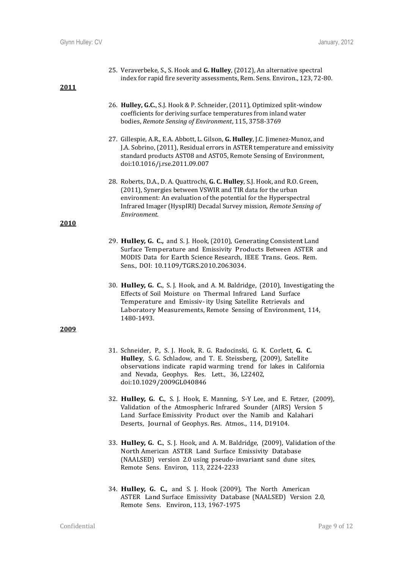25. Veraverbeke, S., S. Hook and **G. Hulley**, (2012), An alternative spectral index for rapid fire severity assessments, Rem. Sens. Environ., 123, 72-80.

## **2011**

- 26. **Hulley, G.C.**, S.J. Hook & P. Schneider, (2011), Optimized split-window coefficients for deriving surface temperatures from inland water bodies, *Remote Sensing of Environment*, 115, 3758-3769
- 27. Gillespie, A.R., E.A. Abbott, L. Gilson, **G. Hulley**, J.C. Jimenez-Munoz, and J.A. Sobrino, (2011), Residual errors in ASTER temperature and emissivity standard products AST08 and AST05, Remote Sensing of Environment, doi:10.1016/j.rse.2011.09.007
- 28. Roberts, D.A., D. A. Quattrochi, **G. C. Hulley**, S.J. Hook, and R.O. Green, (2011), Synergies between VSWIR and TIR data for the urban environment: An evaluation of the potential for the Hyperspectral Infrared Imager (HyspIRI) Decadal Survey mission, *Remote Sensing of Environment.*

### **2010**

- 29. **Hulley, G. C.,** and S. J. Hook, (2010), Generating Consistent Land Surface Temperature and Emissivity Products Between ASTER and MODIS Data for Earth Science Research, IEEE Trans. Geos. Rem. Sens., DOI: 10.1109/TGRS.2010.2063034.
- 30. **Hulley, G. C.**, S. J. Hook, and A. M. Baldridge, (2010), Investigating the Effects of Soil Moisture on Thermal Infrared Land Surface Temperature and Emissiv- ity Using Satellite Retrievals and Laboratory Measurements, Remote Sensing of Environment, 114, 1480-1493.

#### **2009**

- 31. Schneider, P., S. J. Hook, R. G. Radocinski, G. K. Corlett, **G. C. Hulley**, S. G. Schladow, and T. E. Steissberg, (2009), Satellite observations indicate rapid warming trend for lakes in California and Nevada, Geophys. Res. Lett., 36, L22402, doi:10.1029/2009GL040846
- 32. **Hulley, G. C.**, S. J. Hook, E. Manning, S-Y Lee, and E. Fetzer, (2009), Validation of the Atmospheric Infrared Sounder (AIRS) Version 5 Land Surface Emissivity Product over the Namib and Kalahari Deserts, Journal of Geophys. Res. Atmos., 114, D19104.
- 33. **Hulley, G. C.**, S. J. Hook, and A. M. Baldridge, (2009), Validation of the North American ASTER Land Surface Emissivity Database (NAALSED) version 2.0 using pseudo-invariant sand dune sites, Remote Sens. Environ, 113, 2224-2233
- 34. **Hulley, G. C.,** and S. J. Hook (2009), The North American ASTER Land Surface Emissivity Database (NAALSED) Version 2.0, Remote Sens. Environ, 113, 1967-1975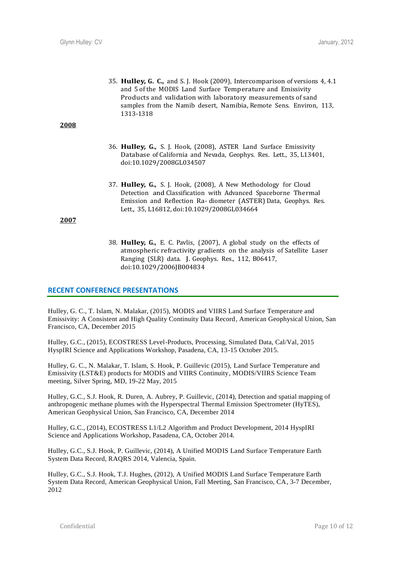35. **Hulley, G. C.,** and S. J. Hook (2009), Intercomparison of versions 4, 4.1 and 5 of the MODIS Land Surface Temperature and Emissivity Products and validation with laboratory measurements of sand samples from the Namib desert, Namibia, Remote Sens. Environ, 113, 1313-1318

#### **2008**

- 36. **Hulley, G.,** S. J. Hook, (2008), ASTER Land Surface Emissivity Database of California and Nevada, Geophys. Res. Lett., 35, L13401, doi:10.1029/2008GL034507
- 37. **Hulley, G.,** S. J. Hook, (2008), A New Methodology for Cloud Detection and Classification with Advanced Spaceborne Thermal Emission and Reflection Ra- diometer (ASTER) Data, Geophys. Res. Lett., 35, L16812, doi:10.1029/2008GL034664

## **2007**

38. **Hulley, G.,** E. C. Pavlis, (2007), A global study on the effects of atmospheric refractivity gradients on the analysis of Satellite Laser Ranging (SLR) data. J. Geophys. Res., 112, B06417, doi:10.1029/2006JB004834

# **RECENT CONFERENCE PRESENTATIONS**

Hulley, G. C., T. Islam, N. Malakar, (2015), MODIS and VIIRS Land Surface Temperature and Emissivity: A Consistent and High Quality Continuity Data Record, American Geophysical Union, San Francisco, CA, December 2015

Hulley, G.C., (2015), ECOSTRESS Level-Products, Processing, Simulated Data, Cal/Val, 2015 HyspIRI Science and Applications Workshop, Pasadena, CA, 13-15 October 2015.

Hulley, G. C., N. Malakar, T. Islam, S. Hook, P. Guillevic (2015), Land Surface Temperature and Emissivity (LST&E) products for MODIS and VIIRS Continuity, MODIS/VIIRS Science Team meeting, Silver Spring, MD, 19-22 May, 2015

Hulley, G.C., S.J. Hook, R. Duren, A. Aubrey, P. Guillevic, (2014), Detection and spatial mapping of anthropogenic methane plumes with the Hyperspectral Thermal Emission Spectrometer (HyTES), American Geophysical Union, San Francisco, CA, December 2014

Hulley, G.C., (2014), ECOSTRESS L1/L2 Algorithm and Product Development, 2014 HyspIRI Science and Applications Workshop, Pasadena, CA, October 2014.

Hulley, G.C., S.J. Hook, P. Guillevic, (2014), A Unified MODIS Land Surface Temperature Earth System Data Record, RAQRS 2014, Valencia, Spain.

Hulley, G.C., S.J. Hook, T.J. Hughes, (2012), A Unified MODIS Land Surface Temperature Earth System Data Record, American Geophysical Union, Fall Meeting, San Francisco, CA, 3-7 December, 2012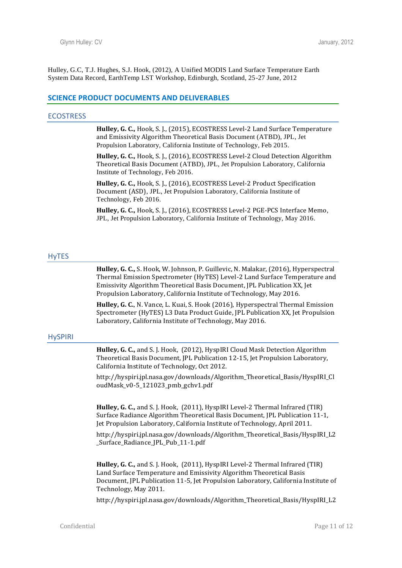Hulley, G.C, T.J. Hughes, S.J. Hook, (2012), A Unified MODIS Land Surface Temperature Earth System Data Record, EarthTemp LST Workshop, Edinburgh, Scotland, 25-27 June, 2012

#### **SCIENCE PRODUCT DOCUMENTS AND DELIVERABLES**

#### **ECOSTRESS**

**Hulley, G. C.,** Hook, S. J., (2015), ECOSTRESS Level-2 Land Surface Temperature and Emissivity Algorithm Theoretical Basis Document (ATBD), JPL, Jet Propulsion Laboratory, California Institute of Technology, Feb 2015.

**Hulley, G. C.,** Hook, S. J., (2016), ECOSTRESS Level-2 Cloud Detection Algorithm Theoretical Basis Document (ATBD), JPL, Jet Propulsion Laboratory, California Institute of Technology, Feb 2016.

**Hulley, G. C.,** Hook, S. J., (2016), ECOSTRESS Level-2 Product Specification Document (ASD), JPL, Jet Propulsion Laboratory, California Institute of Technology, Feb 2016.

**Hulley, G. C.,** Hook, S. J., (2016), ECOSTRESS Level-2 PGE-PCS Interface Memo, JPL, Jet Propulsion Laboratory, California Institute of Technology, May 2016.

#### **HyTES**

**Hulley, G. C.,** S. Hook, W. Johnson, P. Guillevic, N. Malakar, (2016), Hyperspectral Thermal Emission Spectrometer (HyTES) Level-2 Land Surface Temperature and Emissivity Algorithm Theoretical Basis Document, JPL Publication XX, Jet Propulsion Laboratory, California Institute of Technology, May 2016.

**Hulley, G. C.**, N. Vance, L. Kuai, S. Hook (2016), Hyperspectral Thermal Emission Spectrometer (HyTES) L3 Data Product Guide, JPL Publication XX, Jet Propulsion Laboratory, California Institute of Technology, May 2016.

#### **HySPIRI**

**Hulley, G. C.,** and S. J. Hook, (2012), HyspIRI Cloud Mask Detection Algorithm Theoretical Basis Document, JPL Publication 12-15, Jet Propulsion Laboratory, California Institute of Technology, Oct 2012.

http://hyspiri.jpl.nasa.gov/downloads/Algorithm\_Theoretical\_Basis/HyspIRI\_Cl oudMask\_v0-5\_121023\_pmb\_gchv1.pdf

**Hulley, G. C.,** and S. J. Hook, (2011), HyspIRI Level-2 Thermal Infrared (TIR) Surface Radiance Algorithm Theoretical Basis Document, JPL Publication 11-1, Jet Propulsion Laboratory, California Institute of Technology, April 2011.

http://hyspiri.jpl.nasa.gov/downloads/Algorithm\_Theoretical\_Basis/HyspIRI\_L2 \_Surface\_Radiance\_JPL\_Pub\_11-1.pdf

**Hulley, G. C.,** and S. J. Hook, (2011), HyspIRI Level-2 Thermal Infrared (TIR) Land Surface Temperature and Emissivity Algorithm Theoretical Basis Document, JPL Publication 11-5, Jet Propulsion Laboratory, California Institute of Technology, May 2011.

http://hyspiri.jpl.nasa.gov/downloads/Algorithm\_Theoretical\_Basis/HyspIRI\_L2